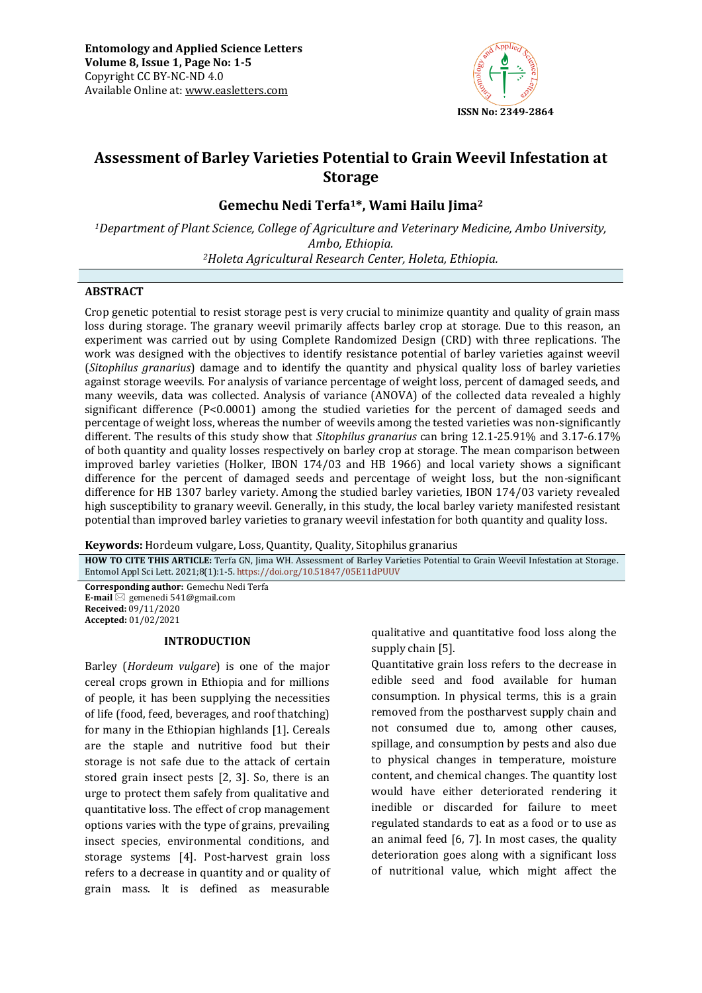

# **Assessment of Barley Varieties Potential to Grain Weevil Infestation at Storage**

**Gemechu Nedi Terfa1\*, Wami Hailu Jima<sup>2</sup>**

*<sup>1</sup>Department of Plant Science, College of Agriculture and Veterinary Medicine, Ambo University, Ambo, Ethiopia. <sup>2</sup>Holeta Agricultural Research Center, Holeta, Ethiopia.*

# **ABSTRACT**

Crop genetic potential to resist storage pest is very crucial to minimize quantity and quality of grain mass loss during storage. The granary weevil primarily affects barley crop at storage. Due to this reason, an experiment was carried out by using Complete Randomized Design (CRD) with three replications. The work was designed with the objectives to identify resistance potential of barley varieties against weevil (*Sitophilus granarius*) damage and to identify the quantity and physical quality loss of barley varieties against storage weevils. For analysis of variance percentage of weight loss, percent of damaged seeds, and many weevils, data was collected. Analysis of variance (ANOVA) of the collected data revealed a highly significant difference (P<0.0001) among the studied varieties for the percent of damaged seeds and percentage of weight loss, whereas the number of weevils among the tested varieties was non-significantly different. The results of this study show that *Sitophilus granarius* can bring 12.1-25.91% and 3.17-6.17% of both quantity and quality losses respectively on barley crop at storage. The mean comparison between improved barley varieties (Holker, IBON 174/03 and HB 1966) and local variety shows a significant difference for the percent of damaged seeds and percentage of weight loss, but the non-significant difference for HB 1307 barley variety. Among the studied barley varieties, IBON 174/03 variety revealed high susceptibility to granary weevil. Generally, in this study, the local barley variety manifested resistant potential than improved barley varieties to granary weevil infestation for both quantity and quality loss.

**Keywords:** Hordeum vulgare, Loss, Quantity, Quality, Sitophilus granarius

**HOW TO CITE THIS ARTICLE:** Terfa GN, Jima WH. Assessment of Barley Varieties Potential to Grain Weevil Infestation at Storage. Entomol Appl Sci Lett. 2021;8(1):1-5. <https://doi.org/10.51847/05E11dPUUV>

**Corresponding author:** Gemechu Nedi Terfa **E-mail** ⊠ gemenedi 541@gmail.com **Received:** 09/11/2020 **Accepted:** 01/02/2021

# **INTRODUCTION**

Barley (*Hordeum vulgare*) is one of the major cereal crops grown in Ethiopia and for millions of people, it has been supplying the necessities of life (food, feed, beverages, and roof thatching) for many in the Ethiopian highlands [1]. Cereals are the staple and nutritive food but their storage is not safe due to the attack of certain stored grain insect pests [2, 3]. So, there is an urge to protect them safely from qualitative and quantitative loss. The effect of crop management options varies with the type of grains, prevailing insect species, environmental conditions, and storage systems [4]. Post-harvest grain loss refers to a decrease in quantity and or quality of grain mass. It is defined as measurable qualitative and quantitative food loss along the supply chain [5].

Quantitative grain loss refers to the decrease in edible seed and food available for human consumption. In physical terms, this is a grain removed from the postharvest supply chain and not consumed due to, among other causes, spillage, and consumption by pests and also due to physical changes in temperature, moisture content, and chemical changes. The quantity lost would have either deteriorated rendering it inedible or discarded for failure to meet regulated standards to eat as a food or to use as an animal feed  $[6, 7]$ . In most cases, the quality deterioration goes along with a significant loss of nutritional value, which might affect the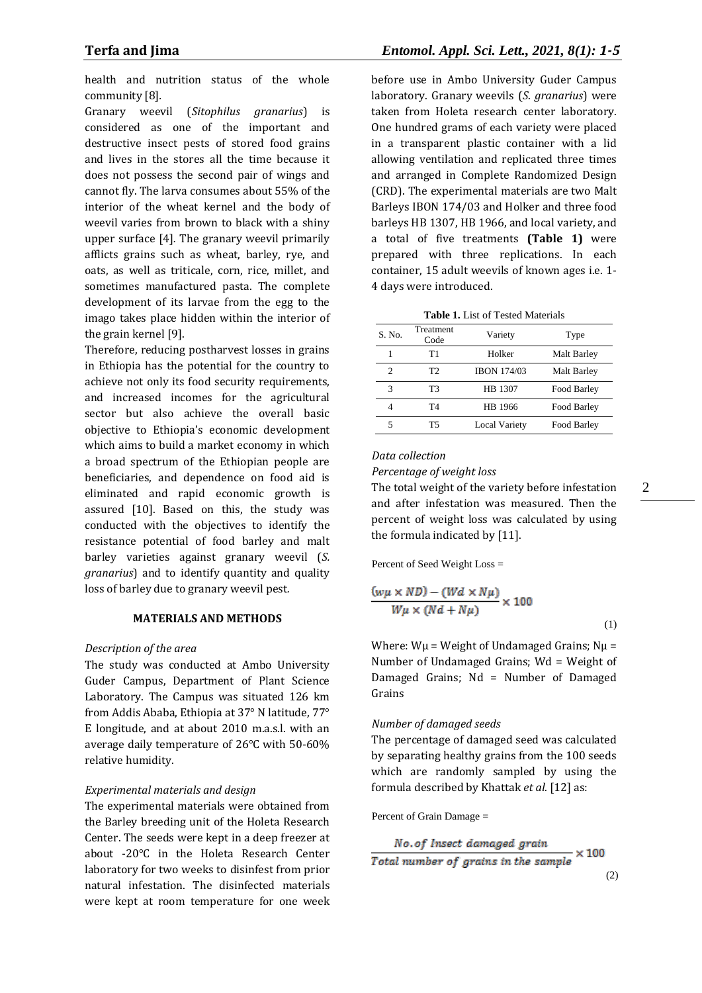health and nutrition status of the whole community [8]*.*

Granary weevil (*Sitophilus granarius*) is considered as one of the important and destructive insect pests of stored food grains and lives in the stores all the time because it does not possess the second pair of wings and cannot fly. The larva consumes about 55% of the interior of the wheat kernel and the body of weevil varies from brown to black with a shiny upper surface [4]*.* The granary weevil primarily afflicts grains such as wheat, barley, rye, and oats, as well as triticale, corn, rice, millet, and sometimes manufactured pasta. The complete development of its larvae from the egg to the imago takes place hidden within the interior of the grain kernel [9].

Therefore, reducing postharvest losses in grains in Ethiopia has the potential for the country to achieve not only its food security requirements, and increased incomes for the agricultural sector but also achieve the overall basic objective to Ethiopia's economic development which aims to build a market economy in which a broad spectrum of the Ethiopian people are beneficiaries, and dependence on food aid is eliminated and rapid economic growth is assured [10]. Based on this, the study was conducted with the objectives to identify the resistance potential of food barley and malt barley varieties against granary weevil (*S. granarius*) and to identify quantity and quality loss of barley due to granary weevil pest*.*

#### **MATERIALS AND METHODS**

#### *Description of the area*

The study was conducted at Ambo University Guder Campus, Department of Plant Science Laboratory. The Campus was situated 126 km from Addis Ababa, Ethiopia at 37° N latitude, 77° E longitude, and at about 2010 m.a.s.l. with an average daily temperature of 26°C with 50-60% relative humidity.

### *Experimental materials and design*

The experimental materials were obtained from the Barley breeding unit of the Holeta Research Center. The seeds were kept in a deep freezer at about -20°C in the Holeta Research Center laboratory for two weeks to disinfest from prior natural infestation. The disinfected materials were kept at room temperature for one week

before use in Ambo University Guder Campus laboratory. Granary weevils (*S*. *granarius*) were taken from Holeta research center laboratory. One hundred grams of each variety were placed in a transparent plastic container with a lid allowing ventilation and replicated three times and arranged in Complete Randomized Design (CRD). The experimental materials are two Malt Barleys IBON 174/03 and Holker and three food barleys HB 1307, HB 1966, and local variety, and a total of five treatments **(Table 1)** were prepared with three replications. In each container, 15 adult weevils of known ages i.e. 1- 4 days were introduced.

| <b>Table 1.</b> List of Tested Materials |                   |                    |             |  |  |
|------------------------------------------|-------------------|--------------------|-------------|--|--|
| S. No.                                   | Treatment<br>Code | Variety            | Type        |  |  |
| 1                                        | Τ1                | Holker             | Malt Barley |  |  |
| 2                                        | T2                | <b>IBON 174/03</b> | Malt Barley |  |  |
| 3                                        | T3                | HB 1307            | Food Barley |  |  |
|                                          | T4                | HB 1966            | Food Barley |  |  |
| 5                                        | Т5                | Local Variety      | Food Barley |  |  |

### *Data collection*

#### *Percentage of weight loss*

The total weight of the variety before infestation and after infestation was measured. Then the percent of weight loss was calculated by using the formula indicated by [11].

Percent of Seed Weight Loss =

$$
\frac{(w\mu \times ND) - (Wd \times N\mu)}{W\mu \times (Nd + N\mu)} \times 100
$$
\n(1)

Where:  $W\mu$  = Weight of Undamaged Grains;  $N\mu$  = Number of Undamaged Grains; Wd = Weight of Damaged Grains; Nd = Number of Damaged Grains

#### *Number of damaged seeds*

The percentage of damaged seed was calculated by separating healthy grains from the 100 seeds which are randomly sampled by using the formula described by Khattak *et al.* [12] as:

Percent of Grain Damage =

No. of Insect damaged grain  
Total number of grains in the sample 
$$
\times
$$
 100  
(2)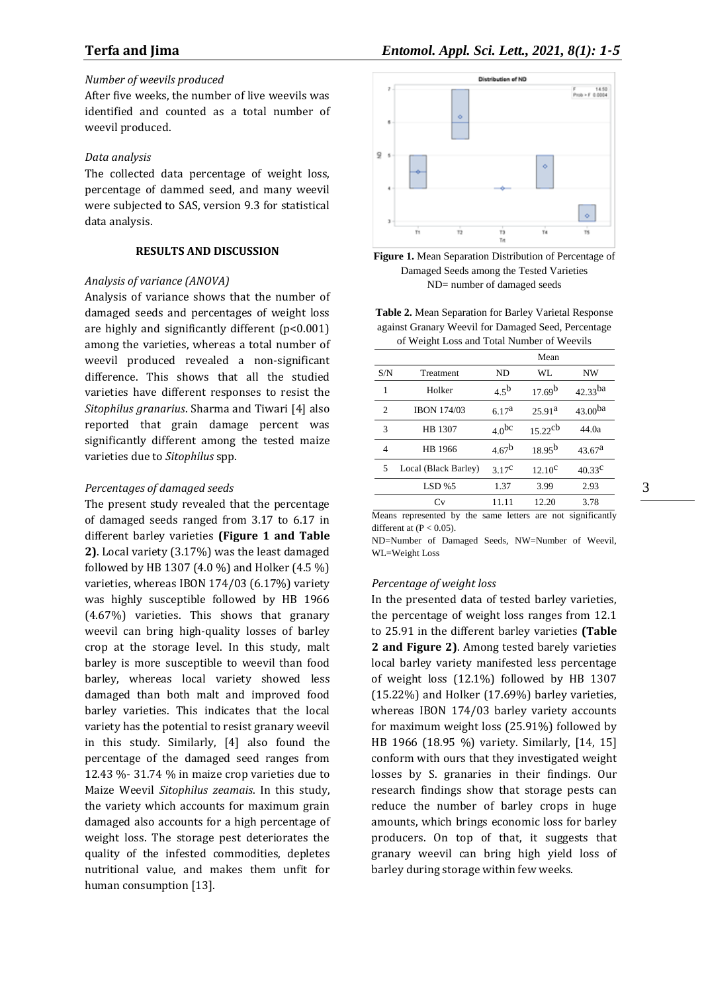# *Number of weevils produced*

After five weeks, the number of live weevils was identified and counted as a total number of weevil produced.

#### *Data analysis*

The collected data percentage of weight loss, percentage of dammed seed, and many weevil were subjected to SAS, version 9.3 for statistical data analysis.

## **RESULTS AND DISCUSSION**

### *Analysis of variance (ANOVA)*

Analysis of variance shows that the number of damaged seeds and percentages of weight loss are highly and significantly different (p<0.001) among the varieties, whereas a total number of weevil produced revealed a non-significant difference. This shows that all the studied varieties have different responses to resist the *Sitophilus granarius*. Sharma and Tiwari [4] also reported that grain damage percent was significantly different among the tested maize varieties due to *Sitophilus* spp.

#### *Percentages of damaged seeds*

The present study revealed that the percentage of damaged seeds ranged from 3.17 to 6.17 in different barley varieties **(Figure 1 and Table 2)**. Local variety (3.17%) was the least damaged followed by HB 1307 (4.0 %) and Holker (4.5 %) varieties, whereas IBON 174/03 (6.17%) variety was highly susceptible followed by HB 1966 (4.67%) varieties. This shows that granary weevil can bring high-quality losses of barley crop at the storage level. In this study, malt barley is more susceptible to weevil than food barley, whereas local variety showed less damaged than both malt and improved food barley varieties. This indicates that the local variety has the potential to resist granary weevil in this study. Similarly, [4] also found the percentage of the damaged seed ranges from 12.43 %- 31.74 % in maize crop varieties due to Maize Weevil *Sitophilus zeamais*. In this study, the variety which accounts for maximum grain damaged also accounts for a high percentage of weight loss. The storage pest deteriorates the quality of the infested commodities, depletes nutritional value, and makes them unfit for human consumption [13].





**Table 2.** Mean Separation for Barley Varietal Response against Granary Weevil for Damaged Seed, Percentage of Weight Loss and Total Number of Weevils

|     |                      |                   | Mean                  |                     |
|-----|----------------------|-------------------|-----------------------|---------------------|
| S/N | Treatment            | ND.               | WL                    | <b>NW</b>           |
| 1   | Holker               | 4.5 <sup>b</sup>  | 17.69 <sup>b</sup>    | $42.33^{ba}$        |
| 2   | <b>IBON 174/03</b>   | 6.17 <sup>a</sup> | 25.91 <sup>a</sup>    | 43.00 <sup>ba</sup> |
| 3   | HB 1307              | 4.0 <sup>bc</sup> | $15.22$ <sup>cb</sup> | 44.0a               |
| 4   | HB 1966              | 4.67 <sup>b</sup> | $18.95^{b}$           | 43.67 <sup>a</sup>  |
| 5   | Local (Black Barley) | $3.17^{\circ}$    | $12.10^{\circ}$       | $40.33^{\circ}$     |
|     | $LSD\%5$             | 1.37              | 3.99                  | 2.93                |
|     | Cv                   | 11.11             | 12.20                 | 3.78                |
|     |                      |                   |                       |                     |

Means represented by the same letters are not significantly different at  $(P < 0.05)$ .

ND=Number of Damaged Seeds, NW=Number of Weevil, WL=Weight Loss

#### *Percentage of weight loss*

In the presented data of tested barley varieties, the percentage of weight loss ranges from 12.1 to 25.91 in the different barley varieties **(Table 2 and Figure 2)**. Among tested barely varieties local barley variety manifested less percentage of weight loss (12.1%) followed by HB 1307 (15.22%) and Holker (17.69%) barley varieties, whereas IBON 174/03 barley variety accounts for maximum weight loss (25.91%) followed by HB 1966 (18.95 %) variety. Similarly, [14, 15] conform with ours that they investigated weight losses by S. granaries in their findings. Our research findings show that storage pests can reduce the number of barley crops in huge amounts, which brings economic loss for barley producers. On top of that, it suggests that granary weevil can bring high yield loss of barley during storage within few weeks.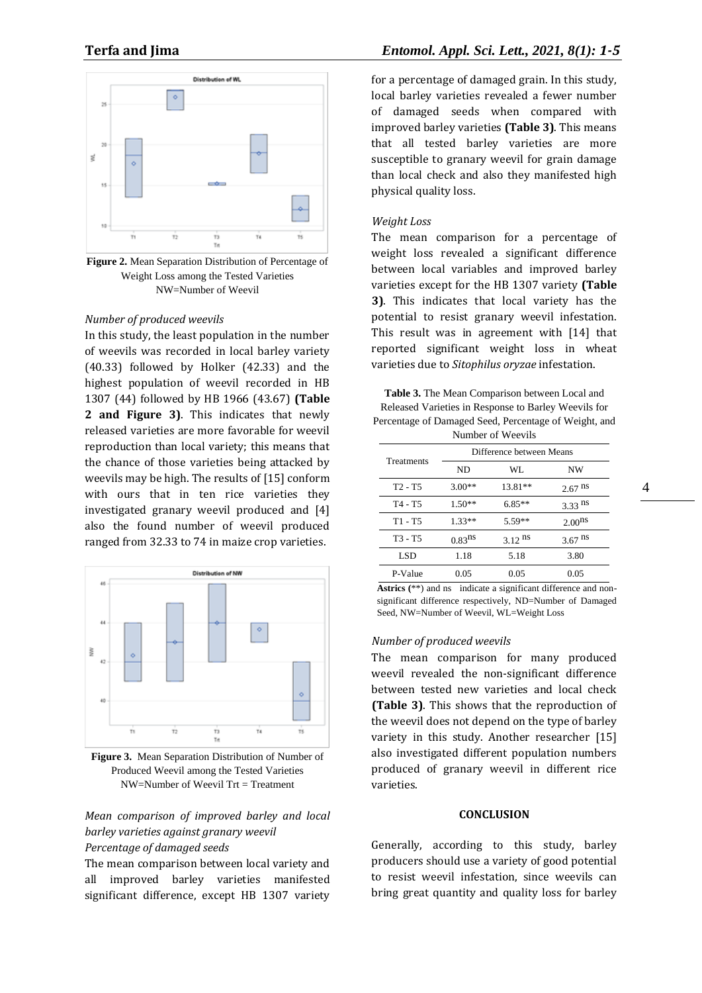

**Figure 2.** Mean Separation Distribution of Percentage of Weight Loss among the Tested Varieties NW=Number of Weevil

### *Number of produced weevils*

In this study, the least population in the number of weevils was recorded in local barley variety (40.33) followed by Holker (42.33) and the highest population of weevil recorded in HB 1307 (44) followed by HB 1966 (43.67) **(Table 2 and Figure 3)**. This indicates that newly released varieties are more favorable for weevil reproduction than local variety; this means that the chance of those varieties being attacked by weevils may be high. The results of [15] conform with ours that in ten rice varieties they investigated granary weevil produced and [4] also the found number of weevil produced ranged from 32.33 to 74 in maize crop varieties.



**Figure 3.** Mean Separation Distribution of Number of Produced Weevil among the Tested Varieties  $NW=N$ umber of Weevil Trt = Treatment

# *Mean comparison of improved barley and local barley varieties against granary weevil Percentage of damaged seeds*

The mean comparison between local variety and all improved barley varieties manifested significant difference, except HB 1307 variety

for a percentage of damaged grain. In this study, local barley varieties revealed a fewer number of damaged seeds when compared with improved barley varieties **(Table 3)**. This means that all tested barley varieties are more susceptible to granary weevil for grain damage than local check and also they manifested high physical quality loss.

#### *Weight Loss*

The mean comparison for a percentage of weight loss revealed a significant difference between local variables and improved barley varieties except for the HB 1307 variety **(Table 3)**. This indicates that local variety has the potential to resist granary weevil infestation. This result was in agreement with [14] that reported significant weight loss in wheat varieties due to *Sitophilus oryzae* infestation.

**Table 3.** The Mean Comparison between Local and Released Varieties in Response to Barley Weevils for Percentage of Damaged Seed, Percentage of Weight, and Number of Weevils

| 114111001 01 11001110 |                          |           |                      |  |  |  |  |
|-----------------------|--------------------------|-----------|----------------------|--|--|--|--|
|                       | Difference between Means |           |                      |  |  |  |  |
| Treatments            | ND                       | WL.       | <b>NW</b>            |  |  |  |  |
| $T2 - T5$             | $3.00**$                 | 13.81**   | $2.67$ <sup>ns</sup> |  |  |  |  |
| T4 - T5               | $1.50**$                 | $6.85**$  | $3.33$ ns            |  |  |  |  |
| $T1 - T5$             | $1.33**$                 | 5.59**    | 2.00 <sup>ns</sup>   |  |  |  |  |
| T3 - T5               | $0.83$ <sup>ns</sup>     | $3.12$ ns | $3.67$ <sup>ns</sup> |  |  |  |  |
| LSD.                  | 1.18                     | 5.18      | 3.80                 |  |  |  |  |
| P-Value               | 0.05                     | 0.05      | 0.05                 |  |  |  |  |

**Astrics (**\*\*) and ns indicate a significant difference and nonsignificant difference respectively, ND=Number of Damaged Seed, NW=Number of Weevil, WL=Weight Loss

#### *Number of produced weevils*

The mean comparison for many produced weevil revealed the non-significant difference between tested new varieties and local check **(Table 3)**. This shows that the reproduction of the weevil does not depend on the type of barley variety in this study. Another researcher [15] also investigated different population numbers produced of granary weevil in different rice varieties.

#### **CONCLUSION**

Generally, according to this study, barley producers should use a variety of good potential to resist weevil infestation, since weevils can bring great quantity and quality loss for barley